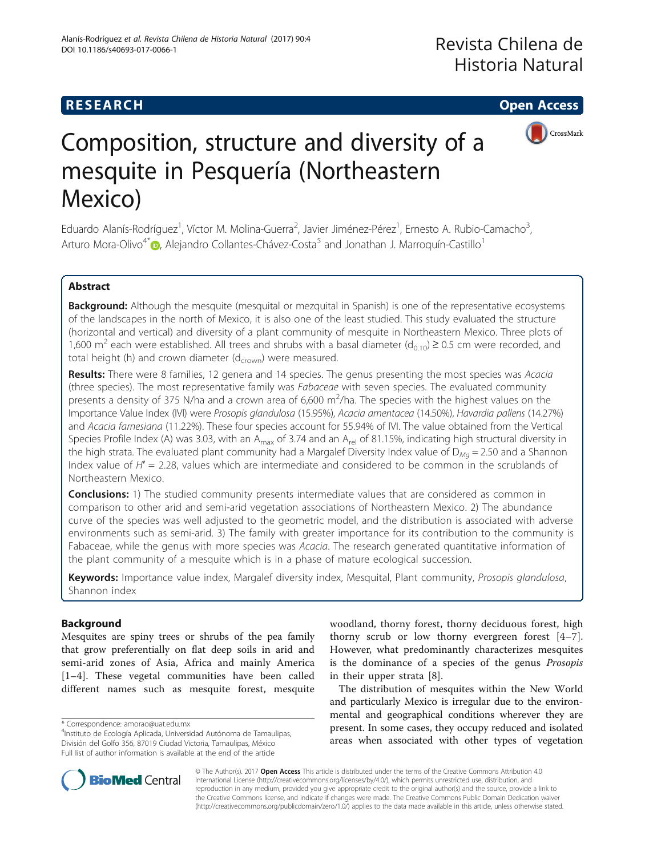## **RESEARCH CHE Open Access**





# Composition, structure and diversity of a mesquite in Pesquería (Northeastern Mexico)

Eduardo Alanís-Rodríguez<sup>1</sup>, Víctor M. Molina-Guerra<sup>2</sup>, Javier Jiménez-Pérez<sup>1</sup>, Ernesto A. Rubio-Camacho<sup>3</sup> , Arturo Mora-Olivo<sup>4\*</sup> (a)[,](http://orcid.org/0000-0002-9654-0305) Alejandro Collantes-Chávez-Costa<sup>5</sup> and Jonathan J. Marroquín-Castillo<sup>1</sup>

### Abstract

Background: Although the mesquite (mesquital or mezquital in Spanish) is one of the representative ecosystems of the landscapes in the north of Mexico, it is also one of the least studied. This study evaluated the structure (horizontal and vertical) and diversity of a plant community of mesquite in Northeastern Mexico. Three plots of 1,600 m<sup>2</sup> each were established. All trees and shrubs with a basal diameter ( $d_{0.10}$ ) ≥ 0.5 cm were recorded, and total height (h) and crown diameter ( $d_{\text{crown}}$ ) were measured.

Results: There were 8 families, 12 genera and 14 species. The genus presenting the most species was Acacia (three species). The most representative family was Fabaceae with seven species. The evaluated community presents a density of 375 N/ha and a crown area of 6,600 m<sup>2</sup>/ha. The species with the highest values on the Importance Value Index (IVI) were Prosopis glandulosa (15.95%), Acacia amentacea (14.50%), Havardia pallens (14.27%) and Acacia farnesiana (11.22%). These four species account for 55.94% of IVI. The value obtained from the Vertical Species Profile Index (A) was 3.03, with an  $A_{max}$  of 3.74 and an  $A_{rel}$  of 81.15%, indicating high structural diversity in the high strata. The evaluated plant community had a Margalef Diversity Index value of  $D_{Ma} = 2.50$  and a Shannon Index value of  $H' = 2.28$ , values which are intermediate and considered to be common in the scrublands of Northeastern Mexico.

**Conclusions:** 1) The studied community presents intermediate values that are considered as common in comparison to other arid and semi-arid vegetation associations of Northeastern Mexico. 2) The abundance curve of the species was well adjusted to the geometric model, and the distribution is associated with adverse environments such as semi-arid. 3) The family with greater importance for its contribution to the community is Fabaceae, while the genus with more species was Acacia. The research generated quantitative information of the plant community of a mesquite which is in a phase of mature ecological succession.

Keywords: Importance value index, Margalef diversity index, Mesquital, Plant community, Prosopis glandulosa, Shannon index

### Background

Mesquites are spiny trees or shrubs of the pea family that grow preferentially on flat deep soils in arid and semi-arid zones of Asia, Africa and mainly America [[1](#page-7-0)–[4\]](#page-7-0). These vegetal communities have been called different names such as mesquite forest, mesquite

woodland, thorny forest, thorny deciduous forest, high thorny scrub or low thorny evergreen forest [\[4](#page-7-0)–[7](#page-7-0)]. However, what predominantly characterizes mesquites is the dominance of a species of the genus Prosopis in their upper strata [[8\]](#page-7-0).

The distribution of mesquites within the New World and particularly Mexico is irregular due to the environmental and geographical conditions wherever they are present. In some cases, they occupy reduced and isolated areas when associated with other types of vegetation



© The Author(s). 2017 **Open Access** This article is distributed under the terms of the Creative Commons Attribution 4.0 International License [\(http://creativecommons.org/licenses/by/4.0/](http://creativecommons.org/licenses/by/4.0/)), which permits unrestricted use, distribution, and reproduction in any medium, provided you give appropriate credit to the original author(s) and the source, provide a link to the Creative Commons license, and indicate if changes were made. The Creative Commons Public Domain Dedication waiver [\(http://creativecommons.org/publicdomain/zero/1.0/](http://creativecommons.org/publicdomain/zero/1.0/)) applies to the data made available in this article, unless otherwise stated.

<sup>\*</sup> Correspondence: [amorao@uat.edu.mx](mailto:amorao@uat.edu.mx) <sup>4</sup>

<sup>&</sup>lt;sup>4</sup>Instituto de Ecología Aplicada, Universidad Autónoma de Tamaulipas, División del Golfo 356, 87019 Ciudad Victoria, Tamaulipas, México Full list of author information is available at the end of the article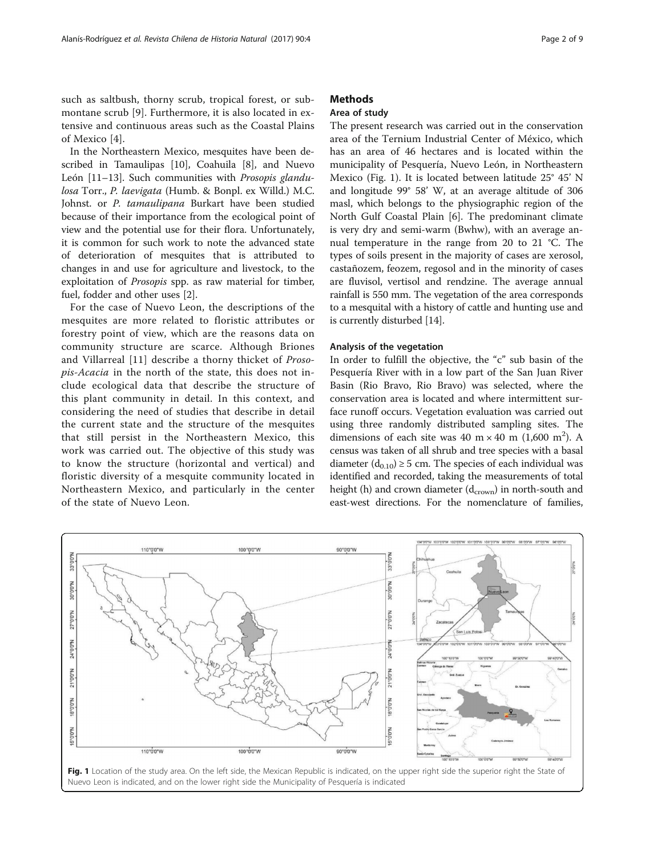such as saltbush, thorny scrub, tropical forest, or submontane scrub [\[9](#page-7-0)]. Furthermore, it is also located in extensive and continuous areas such as the Coastal Plains of Mexico [[4\]](#page-7-0).

In the Northeastern Mexico, mesquites have been described in Tamaulipas [[10\]](#page-7-0), Coahuila [[8\]](#page-7-0), and Nuevo León [\[11](#page-7-0)–[13\]](#page-7-0). Such communities with Prosopis glandulosa Torr., P. laevigata (Humb. & Bonpl. ex Willd.) M.C. Johnst. or P. tamaulipana Burkart have been studied because of their importance from the ecological point of view and the potential use for their flora. Unfortunately, it is common for such work to note the advanced state of deterioration of mesquites that is attributed to changes in and use for agriculture and livestock, to the exploitation of Prosopis spp. as raw material for timber, fuel, fodder and other uses [\[2](#page-7-0)].

For the case of Nuevo Leon, the descriptions of the mesquites are more related to floristic attributes or forestry point of view, which are the reasons data on community structure are scarce. Although Briones and Villarreal [[11\]](#page-7-0) describe a thorny thicket of Prosopis-Acacia in the north of the state, this does not include ecological data that describe the structure of this plant community in detail. In this context, and considering the need of studies that describe in detail the current state and the structure of the mesquites that still persist in the Northeastern Mexico, this work was carried out. The objective of this study was to know the structure (horizontal and vertical) and floristic diversity of a mesquite community located in Northeastern Mexico, and particularly in the center of the state of Nuevo Leon.

### **Methods**

### Area of study

The present research was carried out in the conservation area of the Ternium Industrial Center of México, which has an area of 46 hectares and is located within the municipality of Pesquería, Nuevo León, in Northeastern Mexico (Fig. 1). It is located between latitude 25° 45' N and longitude 99° 58' W, at an average altitude of 306 masl, which belongs to the physiographic region of the North Gulf Coastal Plain [[6](#page-7-0)]. The predominant climate is very dry and semi-warm (Bwhw), with an average annual temperature in the range from 20 to 21 °C. The types of soils present in the majority of cases are xerosol, castañozem, feozem, regosol and in the minority of cases are fluvisol, vertisol and rendzine. The average annual rainfall is 550 mm. The vegetation of the area corresponds to a mesquital with a history of cattle and hunting use and is currently disturbed [[14](#page-7-0)].

### Analysis of the vegetation

In order to fulfill the objective, the "c" sub basin of the Pesquería River with in a low part of the San Juan River Basin (Rio Bravo, Rio Bravo) was selected, where the conservation area is located and where intermittent surface runoff occurs. Vegetation evaluation was carried out using three randomly distributed sampling sites. The dimensions of each site was 40 m  $\times$  40 m (1,600 m<sup>2</sup>). A census was taken of all shrub and tree species with a basal diameter  $(d_{0,10}) \ge 5$  cm. The species of each individual was identified and recorded, taking the measurements of total height (h) and crown diameter  $(d_{\text{crown}})$  in north-south and east-west directions. For the nomenclature of families,



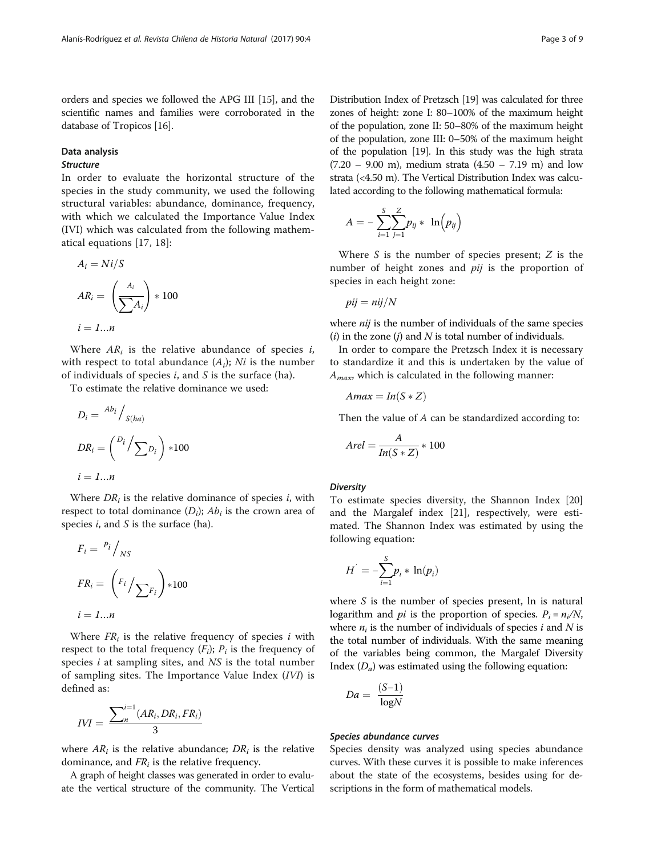orders and species we followed the APG III [[15](#page-7-0)], and the scientific names and families were corroborated in the database of Tropicos [\[16](#page-7-0)].

### Data analysis

### Structure

In order to evaluate the horizontal structure of the species in the study community, we used the following structural variables: abundance, dominance, frequency, with which we calculated the Importance Value Index (IVI) which was calculated from the following mathematical equations [[17](#page-7-0), [18](#page-7-0)]:

$$
A_i = Ni/S
$$
  

$$
AR_i = \left(\frac{A_i}{\sum A_i}\right) * 100
$$
  

$$
i = 1...n
$$

Where  $AR_i$  is the relative abundance of species i, with respect to total abundance  $(A_i)$ ; Ni is the number of individuals of species  $i$ , and  $S$  is the surface (ha).

To estimate the relative dominance we used:

$$
D_i = \frac{Ab_i}{s(ha)}
$$
  

$$
DR_i = {D_i / \sum_{i=1}^{n} b_i} \cdot 100
$$
  

$$
i = 1...n
$$

Where  $DR<sub>i</sub>$  is the relative dominance of species *i*, with respect to total dominance  $(D_i)$ ;  $Ab_i$  is the crown area of species  $i$ , and  $S$  is the surface (ha).

$$
F_i = \frac{P_i}{N_S}
$$
  
\n
$$
FR_i = \left(\frac{F_i}{\sum F_i}\right) * 100
$$
  
\n
$$
i = 1...n
$$

Where  $FR<sub>i</sub>$  is the relative frequency of species i with respect to the total frequency  $(F_i)$ ;  $P_i$  is the frequency of species  $i$  at sampling sites, and  $NS$  is the total number of sampling sites. The Importance Value Index (IVI) is defined as:

$$
IVI = \frac{\sum_{n}^{i=1}(AR_i, DR_i, FR_i)}{3}
$$

where  $AR_i$  is the relative abundance;  $DR_i$  is the relative dominance, and  $FR<sub>i</sub>$  is the relative frequency.

A graph of height classes was generated in order to evaluate the vertical structure of the community. The Vertical

Distribution Index of Pretzsch [[19](#page-7-0)] was calculated for three zones of height: zone I: 80–100% of the maximum height of the population, zone II: 50–80% of the maximum height of the population, zone III: 0–50% of the maximum height of the population [\[19\]](#page-7-0). In this study was the high strata  $(7.20 - 9.00 \text{ m})$ , medium strata  $(4.50 - 7.19 \text{ m})$  and low strata (<4.50 m). The Vertical Distribution Index was calculated according to the following mathematical formula:

$$
A = -\sum_{i=1}^{S} \sum_{j=1}^{Z} p_{ij} * \ln (p_{ij})
$$

Where  $S$  is the number of species present;  $Z$  is the number of height zones and *pij* is the proportion of species in each height zone:

$$
pij = nij/N
$$

where *nij* is the number of individuals of the same species (i) in the zone (j) and  $N$  is total number of individuals.

In order to compare the Pretzsch Index it is necessary to standardize it and this is undertaken by the value of  $A_{max}$ , which is calculated in the following manner:

$$
A\mathit{max} = \mathit{In}(S * Z)
$$

Then the value of A can be standardized according to:

$$
A rel = \frac{A}{In(S*Z)} * 100
$$

### **Diversity**

To estimate species diversity, the Shannon Index [[20](#page-7-0)] and the Margalef index [[21](#page-7-0)], respectively, were estimated. The Shannon Index was estimated by using the following equation:

$$
H^{'}=-\sum_{i=1}^{S}p_i * \ln(p_i)
$$

where  $S$  is the number of species present,  $\ln$  is natural logarithm and *pi* is the proportion of species.  $P_i = n_i/N$ , where  $n_i$  is the number of individuals of species i and N is the total number of individuals. With the same meaning of the variables being common, the Margalef Diversity Index  $(D_a)$  was estimated using the following equation:

$$
Da = \frac{(S-1)}{\log N}
$$

### Species abundance curves

Species density was analyzed using species abundance curves. With these curves it is possible to make inferences about the state of the ecosystems, besides using for descriptions in the form of mathematical models.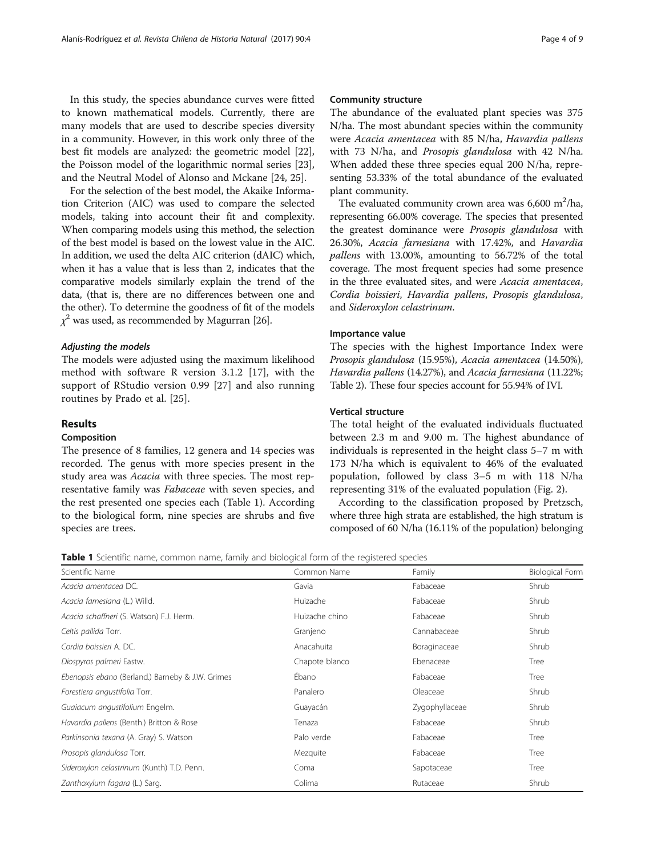In this study, the species abundance curves were fitted to known mathematical models. Currently, there are many models that are used to describe species diversity in a community. However, in this work only three of the best fit models are analyzed: the geometric model [\[22](#page-7-0)], the Poisson model of the logarithmic normal series [\[23](#page-7-0)], and the Neutral Model of Alonso and Mckane [\[24](#page-7-0), [25\]](#page-7-0).

For the selection of the best model, the Akaike Information Criterion (AIC) was used to compare the selected models, taking into account their fit and complexity. When comparing models using this method, the selection of the best model is based on the lowest value in the AIC. In addition, we used the delta AIC criterion (dAIC) which, when it has a value that is less than 2, indicates that the comparative models similarly explain the trend of the data, (that is, there are no differences between one and the other). To determine the goodness of fit of the models  $\chi^2$  was used, as recommended by Magurran [[26](#page-7-0)].

### Adjusting the models

The models were adjusted using the maximum likelihood method with software R version 3.1.2 [[17\]](#page-7-0), with the support of RStudio version 0.99 [[27\]](#page-8-0) and also running routines by Prado et al. [[25](#page-7-0)].

### Results

### Composition

The presence of 8 families, 12 genera and 14 species was recorded. The genus with more species present in the study area was Acacia with three species. The most representative family was Fabaceae with seven species, and the rest presented one species each (Table 1). According to the biological form, nine species are shrubs and five species are trees.

### Community structure

The abundance of the evaluated plant species was 375 N/ha. The most abundant species within the community were Acacia amentacea with 85 N/ha, Havardia pallens with 73 N/ha, and Prosopis glandulosa with 42 N/ha. When added these three species equal 200 N/ha, representing 53.33% of the total abundance of the evaluated plant community.

The evaluated community crown area was  $6,600 \text{ m}^2/\text{ha}$ , representing 66.00% coverage. The species that presented the greatest dominance were Prosopis glandulosa with 26.30%, Acacia farnesiana with 17.42%, and Havardia pallens with 13.00%, amounting to 56.72% of the total coverage. The most frequent species had some presence in the three evaluated sites, and were Acacia amentacea, Cordia boissieri, Havardia pallens, Prosopis glandulosa, and Sideroxylon celastrinum.

### Importance value

The species with the highest Importance Index were Prosopis glandulosa (15.95%), Acacia amentacea (14.50%), Havardia pallens (14.27%), and Acacia farnesiana (11.22%; Table [2](#page-4-0)). These four species account for 55.94% of IVI.

### Vertical structure

The total height of the evaluated individuals fluctuated between 2.3 m and 9.00 m. The highest abundance of individuals is represented in the height class 5–7 m with 173 N/ha which is equivalent to 46% of the evaluated population, followed by class 3–5 m with 118 N/ha representing 31% of the evaluated population (Fig. [2\)](#page-4-0).

According to the classification proposed by Pretzsch, where three high strata are established, the high stratum is composed of 60 N/ha (16.11% of the population) belonging

Table 1 Scientific name, common name, family and biological form of the registered species

| Scientific Name                                  | Common Name    | Family         | <b>Biological Form</b> |  |
|--------------------------------------------------|----------------|----------------|------------------------|--|
| Acacia amentacea DC.                             | Gavia          | Fabaceae       | Shrub                  |  |
| Acacia farnesiana (L.) Willd.                    | Huizache       | Fabaceae       | Shrub                  |  |
| Acacia schaffneri (S. Watson) F.J. Herm.         | Huizache chino | Fabaceae       | Shrub                  |  |
| Celtis pallida Torr.                             | Granjeno       | Cannabaceae    | Shrub                  |  |
| Cordia boissieri A. DC.                          | Anacahuita     | Boraginaceae   | Shrub                  |  |
| Diospyros palmeri Eastw.                         | Chapote blanco | Ebenaceae      | Tree                   |  |
| Ebenopsis ebano (Berland.) Barneby & J.W. Grimes | Ébano          | Fabaceae       | Tree                   |  |
| Forestiera angustifolia Torr.                    | Panalero       | Oleaceae       | Shrub                  |  |
| Guaiacum angustifolium Engelm.                   | Guayacán       | Zygophyllaceae | Shrub                  |  |
| Havardia pallens (Benth.) Britton & Rose         | Tenaza         | Fabaceae       | Shrub                  |  |
| Parkinsonia texana (A. Gray) S. Watson           | Palo verde     | Fabaceae       | Tree                   |  |
| Prosopis glandulosa Torr.                        | Mezquite       | Fabaceae       | Tree                   |  |
| Sideroxylon celastrinum (Kunth) T.D. Penn.       | Coma           | Sapotaceae     | Tree                   |  |
| Zanthoxylum fagara (L.) Sarg.                    | Colima         | Rutaceae       | Shrub                  |  |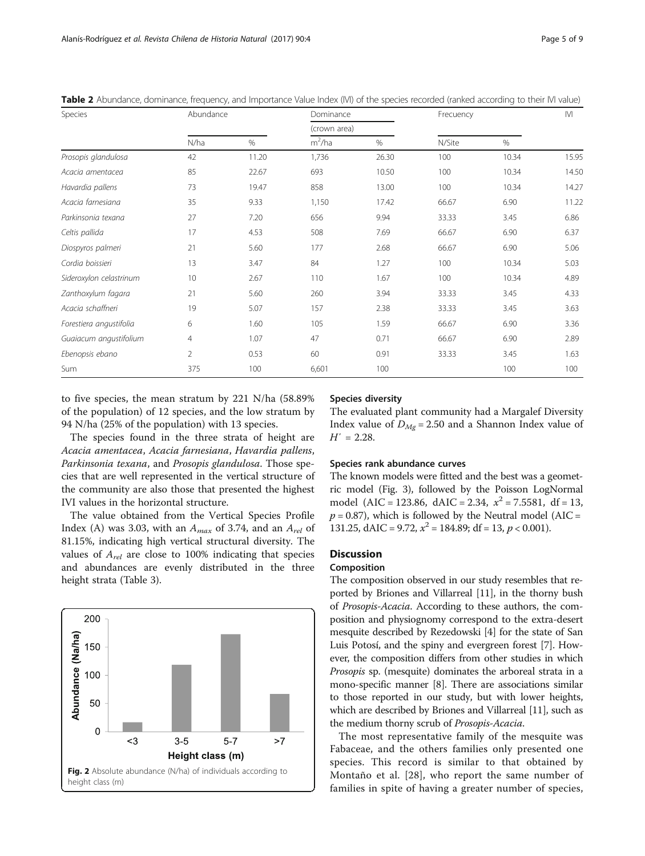| Species                 |                | Abundance |              | Dominance |        | Frecuency |       |
|-------------------------|----------------|-----------|--------------|-----------|--------|-----------|-------|
|                         |                |           | (crown area) |           |        |           |       |
|                         | N/ha           | $\%$      | $m^2/ha$     | $\%$      | N/Site | $\%$      |       |
| Prosopis glandulosa     | 42             | 11.20     | 1,736        | 26.30     | 100    | 10.34     | 15.95 |
| Acacia amentacea        | 85             | 22.67     | 693          | 10.50     | 100    | 10.34     | 14.50 |
| Havardia pallens        | 73             | 19.47     | 858          | 13.00     | 100    | 10.34     | 14.27 |
| Acacia farnesiana       | 35             | 9.33      | 1,150        | 17.42     | 66.67  | 6.90      | 11.22 |
| Parkinsonia texana      | 27             | 7.20      | 656          | 9.94      | 33.33  | 3.45      | 6.86  |
| Celtis pallida          | 17             | 4.53      | 508          | 7.69      | 66.67  | 6.90      | 6.37  |
| Diospyros palmeri       | 21             | 5.60      | 177          | 2.68      | 66.67  | 6.90      | 5.06  |
| Cordia boissieri        | 13             | 3.47      | 84           | 1.27      | 100    | 10.34     | 5.03  |
| Sideroxylon celastrinum | 10             | 2.67      | 110          | 1.67      | 100    | 10.34     | 4.89  |
| Zanthoxylum fagara      | 21             | 5.60      | 260          | 3.94      | 33.33  | 3.45      | 4.33  |
| Acacia schaffneri       | 19             | 5.07      | 157          | 2.38      | 33.33  | 3.45      | 3.63  |
| Forestiera angustifolia | 6              | 1.60      | 105          | 1.59      | 66.67  | 6.90      | 3.36  |
| Guaiacum angustifolium  | $\overline{4}$ | 1.07      | 47           | 0.71      | 66.67  | 6.90      | 2.89  |
| Ebenopsis ebano         | $\overline{2}$ | 0.53      | 60           | 0.91      | 33.33  | 3.45      | 1.63  |
| Sum                     | 375            | 100       | 6,601        | 100       |        | 100       | 100   |

<span id="page-4-0"></span>Table 2 Abundance, dominance, frequency, and Importance Value Index (IVI) of the species recorded (ranked according to their IVI value)

to five species, the mean stratum by 221 N/ha (58.89% of the population) of 12 species, and the low stratum by 94 N/ha (25% of the population) with 13 species.

### The species found in the three strata of height are Acacia amentacea, Acacia farnesiana, Havardia pallens, Parkinsonia texana, and Prosopis glandulosa. Those species that are well represented in the vertical structure of the community are also those that presented the highest IVI values in the horizontal structure.

The value obtained from the Vertical Species Profile Index (A) was 3.03, with an  $A_{max}$  of 3.74, and an  $A_{rel}$  of 81.15%, indicating high vertical structural diversity. The values of  $A_{rel}$  are close to 100% indicating that species and abundances are evenly distributed in the three height strata (Table [3\)](#page-5-0).



### Species diversity

The evaluated plant community had a Margalef Diversity Index value of  $D_{Mg}$  = 2.50 and a Shannon Index value of  $H' = 2.28$ .

### Species rank abundance curves

The known models were fitted and the best was a geometric model (Fig. [3\)](#page-5-0), followed by the Poisson LogNormal model (AIC = 123.86, dAIC = 2.34,  $x^2$  = 7.5581, df = 13,  $p = 0.87$ ), which is followed by the Neutral model (AIC = 131.25,  $dAIC = 9.72$ ,  $x^2 = 184.89$ ;  $df = 13$ ,  $p < 0.001$ ).

### **Discussion**

### Composition

The composition observed in our study resembles that reported by Briones and Villarreal [\[11\]](#page-7-0), in the thorny bush of Prosopis-Acacia. According to these authors, the composition and physiognomy correspond to the extra-desert mesquite described by Rezedowski [\[4](#page-7-0)] for the state of San Luis Potosí, and the spiny and evergreen forest [\[7](#page-7-0)]. However, the composition differs from other studies in which Prosopis sp. (mesquite) dominates the arboreal strata in a mono-specific manner [[8\]](#page-7-0). There are associations similar to those reported in our study, but with lower heights, which are described by Briones and Villarreal [[11](#page-7-0)], such as the medium thorny scrub of Prosopis-Acacia.

The most representative family of the mesquite was Fabaceae, and the others families only presented one species. This record is similar to that obtained by Montaño et al. [[28](#page-8-0)], who report the same number of families in spite of having a greater number of species,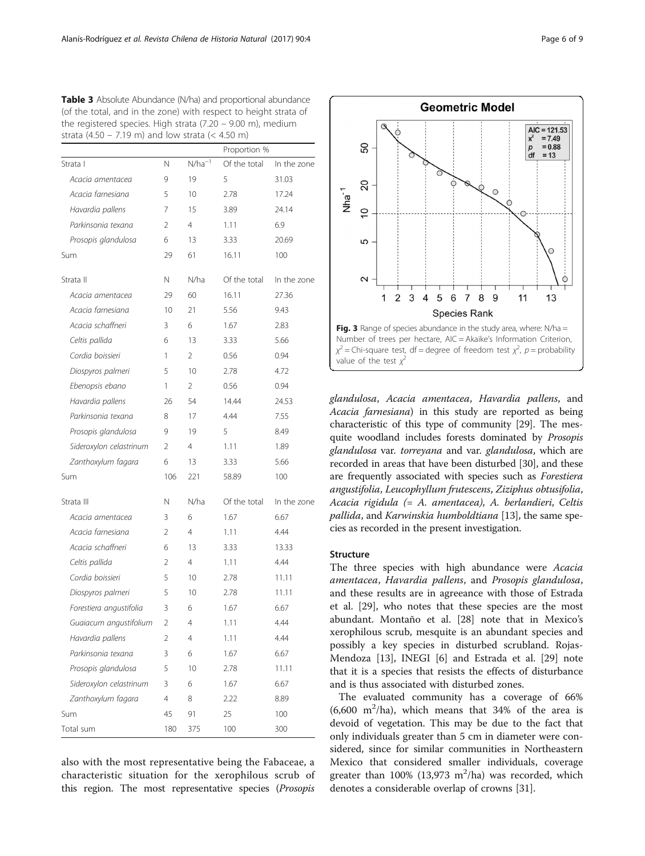<span id="page-5-0"></span>Table 3 Absolute Abundance (N/ha) and proportional abundance (of the total, and in the zone) with respect to height strata of the registered species. High strata (7.20 – 9.00 m), medium strata (4.50 – 7.19 m) and low strata (< 4.50 m)

|                         |                |             | Proportion % |             |
|-------------------------|----------------|-------------|--------------|-------------|
| Strata I                | Ν              | $N/ha^{-1}$ | Of the total | In the zone |
| Acacia amentacea        | 9              | 19          | 5            | 31.03       |
| Acacia farnesiana       | 5              | 10          | 2.78         | 17.24       |
| Havardia pallens        | 7              | 15          | 3.89         | 24.14       |
| Parkinsonia texana      | 2              | 4           | 1.11         | 6.9         |
| Prosopis glandulosa     | 6              | 13          | 3.33         | 20.69       |
| Sum                     | 29             | 61          | 16.11        | 100         |
| Strata II               | N              | N/ha        | Of the total | In the zone |
| Acacia amentacea        | 29             | 60          | 16.11        | 27.36       |
| Acacia farnesiana       | 10             | 21          | 5.56         | 9.43        |
| Acacia schaffneri       | 3              | 6           | 1.67         | 2.83        |
| Celtis pallida          | 6              | 13          | 3.33         | 5.66        |
| Cordia boissieri        | 1              | 2           | 0.56         | 0.94        |
| Diospyros palmeri       | 5              | 10          | 2.78         | 4.72        |
| Ebenopsis ebano         | 1              | 2           | 0.56         | 0.94        |
| Havardia pallens        | 26             | 54          | 14.44        | 24.53       |
| Parkinsonia texana      | 8              | 17          | 4.44         | 7.55        |
| Prosopis glandulosa     | 9              | 19          | 5            | 8.49        |
| Sideroxylon celastrinum | 2              | 4           | 1.11         | 1.89        |
| Zanthoxylum faqara      | 6              | 13          | 3.33         | 5.66        |
| Sum                     | 106            | 221         | 58.89        | 100         |
| Strata III              | Ν              | N/ha        | Of the total | In the zone |
| Acacia amentacea        | 3              | 6           | 1.67         | 6.67        |
| Acacia farnesiana       | 2              | 4           | 1.11         | 4.44        |
| Acacia schaffneri       | 6              | 13          | 3.33         | 13.33       |
| Celtis pallida          | 2              | 4           | 1.11         | 4.44        |
| Cordia boissieri        | 5              | 10          | 2.78         | 11.11       |
| Diospyros palmeri       | 5              | 10          | 2.78         | 11.11       |
| Forestiera angustifolia | 3              | 6           | 1.67         | 6.67        |
| Guaiacum angustifolium  | 2              | 4           | 1.11         | 4.44        |
| Havardia pallens        | 2              | 4           | 1.11         | 4.44        |
| Parkinsonia texana      | 3              | 6           | 1.67         | 6.67        |
| Prosopis glandulosa     | 5              | 10          | 2.78         | 11.11       |
| Sideroxylon celastrinum | 3              | 6           | 1.67         | 6.67        |
| Zanthoxylum fagara      | $\overline{4}$ | 8           | 2.22         | 8.89        |
| Sum                     | 45             | 91          | 25           | 100         |
| Total sum               | 180            | 375         | 100          | 300         |

also with the most representative being the Fabaceae, a characteristic situation for the xerophilous scrub of this region. The most representative species (Prosopis



glandulosa, Acacia amentacea, Havardia pallens, and Acacia farnesiana) in this study are reported as being characteristic of this type of community [[29](#page-8-0)]. The mesquite woodland includes forests dominated by Prosopis glandulosa var. torreyana and var. glandulosa, which are recorded in areas that have been disturbed [\[30](#page-8-0)], and these are frequently associated with species such as Forestiera angustifolia, Leucophyllum frutescens, Ziziphus obtusifolia, Acacia rigidula (= A. amentacea), A. berlandieri, Celtis pallida, and Karwinskia humboldtiana [\[13\]](#page-7-0), the same species as recorded in the present investigation.

### Structure

The three species with high abundance were Acacia amentacea, Havardia pallens, and Prosopis glandulosa, and these results are in agreeance with those of Estrada et al. [\[29](#page-8-0)], who notes that these species are the most abundant. Montaño et al. [\[28](#page-8-0)] note that in Mexico's xerophilous scrub, mesquite is an abundant species and possibly a key species in disturbed scrubland. Rojas-Mendoza [[13\]](#page-7-0), INEGI [\[6](#page-7-0)] and Estrada et al. [[29\]](#page-8-0) note that it is a species that resists the effects of disturbance and is thus associated with disturbed zones.

The evaluated community has a coverage of 66%  $(6,600 \text{ m}^2/\text{ha})$ , which means that 34% of the area is devoid of vegetation. This may be due to the fact that only individuals greater than 5 cm in diameter were considered, since for similar communities in Northeastern Mexico that considered smaller individuals, coverage greater than  $100\%$  (13,973 m<sup>2</sup>/ha) was recorded, which denotes a considerable overlap of crowns [[31](#page-8-0)].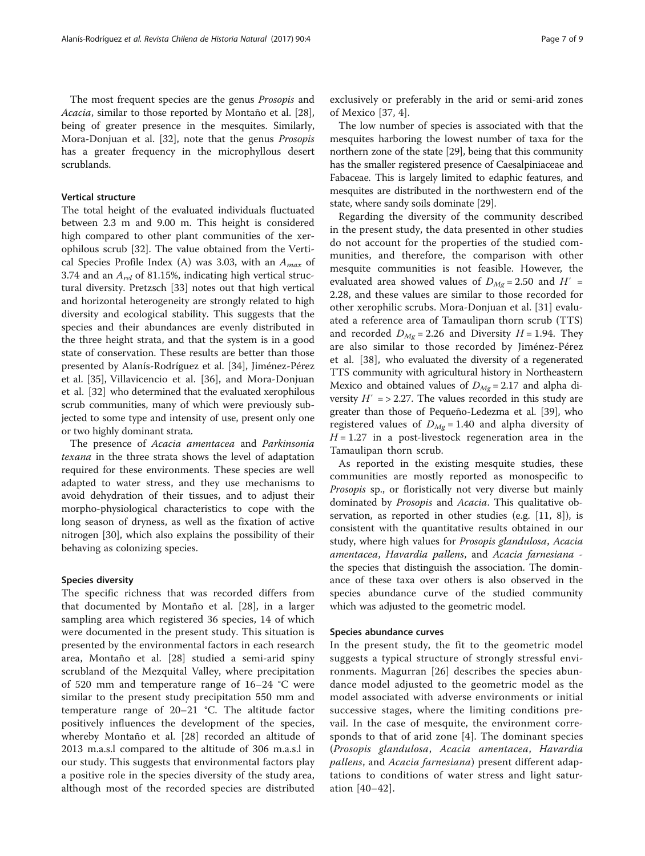The most frequent species are the genus Prosopis and Acacia, similar to those reported by Montaño et al. [\[28](#page-8-0)], being of greater presence in the mesquites. Similarly, Mora-Donjuan et al. [\[32](#page-8-0)], note that the genus Prosopis has a greater frequency in the microphyllous desert scrublands.

### Vertical structure

The total height of the evaluated individuals fluctuated between 2.3 m and 9.00 m. This height is considered high compared to other plant communities of the xerophilous scrub [\[32](#page-8-0)]. The value obtained from the Vertical Species Profile Index (A) was 3.03, with an  $A_{max}$  of 3.74 and an  $A_{rel}$  of 81.15%, indicating high vertical structural diversity. Pretzsch [[33\]](#page-8-0) notes out that high vertical and horizontal heterogeneity are strongly related to high diversity and ecological stability. This suggests that the species and their abundances are evenly distributed in the three height strata, and that the system is in a good state of conservation. These results are better than those presented by Alanís-Rodríguez et al. [[34\]](#page-8-0), Jiménez-Pérez et al. [[35](#page-8-0)], Villavicencio et al. [[36\]](#page-8-0), and Mora-Donjuan et al. [[32\]](#page-8-0) who determined that the evaluated xerophilous scrub communities, many of which were previously subjected to some type and intensity of use, present only one or two highly dominant strata.

The presence of Acacia amentacea and Parkinsonia texana in the three strata shows the level of adaptation required for these environments. These species are well adapted to water stress, and they use mechanisms to avoid dehydration of their tissues, and to adjust their morpho-physiological characteristics to cope with the long season of dryness, as well as the fixation of active nitrogen [[30](#page-8-0)], which also explains the possibility of their behaving as colonizing species.

### Species diversity

The specific richness that was recorded differs from that documented by Montaño et al. [\[28](#page-8-0)], in a larger sampling area which registered 36 species, 14 of which were documented in the present study. This situation is presented by the environmental factors in each research area, Montaño et al. [\[28](#page-8-0)] studied a semi-arid spiny scrubland of the Mezquital Valley, where precipitation of 520 mm and temperature range of 16–24 °C were similar to the present study precipitation 550 mm and temperature range of 20–21 °C. The altitude factor positively influences the development of the species, whereby Montaño et al. [[28\]](#page-8-0) recorded an altitude of 2013 m.a.s.l compared to the altitude of 306 m.a.s.l in our study. This suggests that environmental factors play a positive role in the species diversity of the study area, although most of the recorded species are distributed

exclusively or preferably in the arid or semi-arid zones of Mexico [[37,](#page-8-0) [4](#page-7-0)].

The low number of species is associated with that the mesquites harboring the lowest number of taxa for the northern zone of the state [[29](#page-8-0)], being that this community has the smaller registered presence of Caesalpiniaceae and Fabaceae. This is largely limited to edaphic features, and mesquites are distributed in the northwestern end of the state, where sandy soils dominate [[29](#page-8-0)].

Regarding the diversity of the community described in the present study, the data presented in other studies do not account for the properties of the studied communities, and therefore, the comparison with other mesquite communities is not feasible. However, the evaluated area showed values of  $D_{Mg} = 2.50$  and  $H' =$ 2.28, and these values are similar to those recorded for other xerophilic scrubs. Mora-Donjuan et al. [\[31](#page-8-0)] evaluated a reference area of Tamaulipan thorn scrub (TTS) and recorded  $D_{Mg}$  = 2.26 and Diversity  $H = 1.94$ . They are also similar to those recorded by Jiménez-Pérez et al. [[38\]](#page-8-0), who evaluated the diversity of a regenerated TTS community with agricultural history in Northeastern Mexico and obtained values of  $D_{Mg}$  = 2.17 and alpha diversity  $H' = 2.27$ . The values recorded in this study are greater than those of Pequeño-Ledezma et al. [\[39](#page-8-0)], who registered values of  $D_{Mg}$  = 1.40 and alpha diversity of  $H = 1.27$  in a post-livestock regeneration area in the Tamaulipan thorn scrub.

As reported in the existing mesquite studies, these communities are mostly reported as monospecific to Prosopis sp., or floristically not very diverse but mainly dominated by Prosopis and Acacia. This qualitative observation, as reported in other studies (e.g. [[11](#page-7-0), [8](#page-7-0)]), is consistent with the quantitative results obtained in our study, where high values for Prosopis glandulosa, Acacia amentacea, Havardia pallens, and Acacia farnesiana the species that distinguish the association. The dominance of these taxa over others is also observed in the species abundance curve of the studied community which was adjusted to the geometric model.

### Species abundance curves

In the present study, the fit to the geometric model suggests a typical structure of strongly stressful environments. Magurran [[26\]](#page-7-0) describes the species abundance model adjusted to the geometric model as the model associated with adverse environments or initial successive stages, where the limiting conditions prevail. In the case of mesquite, the environment corresponds to that of arid zone [[4\]](#page-7-0). The dominant species (Prosopis glandulosa, Acacia amentacea, Havardia pallens, and Acacia farnesiana) present different adaptations to conditions of water stress and light saturation [[40](#page-8-0)–[42](#page-8-0)].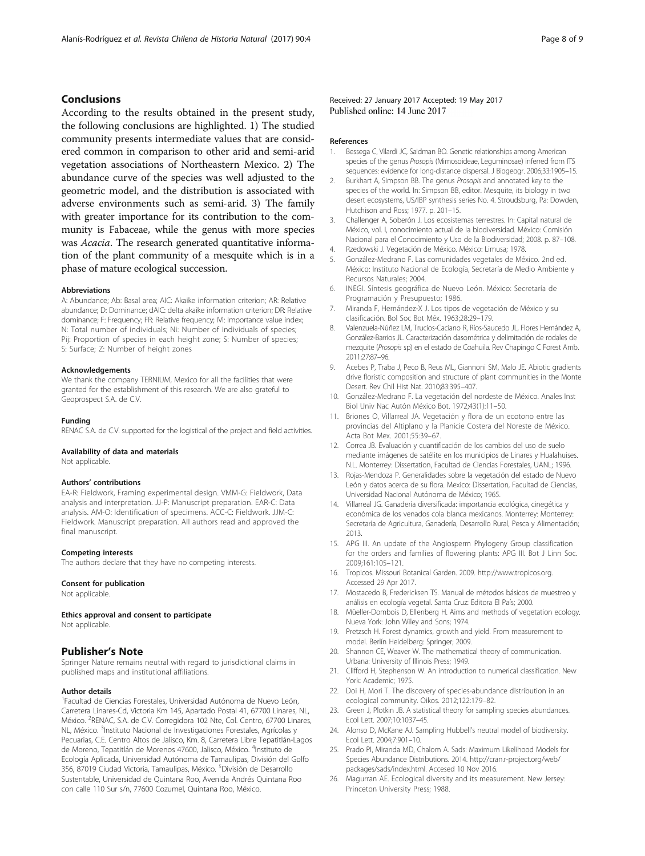### <span id="page-7-0"></span>Conclusions

According to the results obtained in the present study, the following conclusions are highlighted. 1) The studied community presents intermediate values that are considered common in comparison to other arid and semi-arid vegetation associations of Northeastern Mexico. 2) The abundance curve of the species was well adjusted to the geometric model, and the distribution is associated with adverse environments such as semi-arid. 3) The family with greater importance for its contribution to the community is Fabaceae, while the genus with more species was Acacia. The research generated quantitative information of the plant community of a mesquite which is in a phase of mature ecological succession.

#### Abbreviations

A: Abundance; Ab: Basal area; AIC: Akaike information criterion; AR: Relative abundance; D: Dominance; dAIC: delta akaike information criterion; DR: Relative dominance; F: Frequency; FR: Relative frequency; IVI: Importance value index; N: Total number of individuals; Ni: Number of individuals of species; Pij: Proportion of species in each height zone; S: Number of species; S: Surface; Z: Number of height zones

#### Acknowledgements

We thank the company TERNIUM, Mexico for all the facilities that were granted for the establishment of this research. We are also grateful to Geoprospect S.A. de C.V.

#### Funding

RENAC S.A. de C.V. supported for the logistical of the project and field activities.

#### Availability of data and materials

Not applicable.

### Authors' contributions

EA-R: Fieldwork, Framing experimental design. VMM-G: Fieldwork, Data analysis and interpretation. JJ-P: Manuscript preparation. EAR-C: Data analysis. AM-O: Identification of specimens. ACC-C: Fieldwork. JJM-C: Fieldwork. Manuscript preparation. All authors read and approved the final manuscript.

### Competing interests

The authors declare that they have no competing interests.

#### Consent for publication

Not applicable.

Ethics approval and consent to participate

Not applicable.

### Publisher's Note

Springer Nature remains neutral with regard to jurisdictional claims in published maps and institutional affiliations.

### Author details

<sup>1</sup>Facultad de Ciencias Forestales, Universidad Autónoma de Nuevo León, Carretera Linares-Cd, Victoria Km 145, Apartado Postal 41, 67700 Linares, NL, México. <sup>2</sup>RENAC, S.A. de C.V. Corregidora 102 Nte, Col. Centro, 67700 Linares, NL, México. <sup>3</sup>Instituto Nacional de Investigaciones Forestales, Agrícolas y Pecuarias, C.E. Centro Altos de Jalisco, Km. 8, Carretera Libre Tepatitlán-Lagos de Moreno, Tepatitlán de Morenos 47600, Jalisco, México. <sup>4</sup>Instituto de Ecología Aplicada, Universidad Autónoma de Tamaulipas, División del Golfo 356, 87019 Ciudad Victoria, Tamaulipas, México. <sup>5</sup>División de Desarrollo Sustentable, Universidad de Quintana Roo, Avenida Andrés Quintana Roo con calle 110 Sur s/n, 77600 Cozumel, Quintana Roo, México.

Received: 27 January 2017 Accepted: 19 May 2017 Published online: 14 June 2017

#### References

- 1. Bessega C, Vilardi JC, Saidman BO. Genetic relationships among American species of the genus Prosopis (Mimosoideae, Leguminosae) inferred from ITS sequences: evidence for long-distance dispersal. J Biogeogr. 2006;33:1905–15.
- 2. Burkhart A, Simpson BB. The genus Prosopis and annotated key to the species of the world. In: Simpson BB, editor. Mesquite, its biology in two desert ecosystems, US/IBP synthesis series No. 4. Stroudsburg, Pa: Dowden, Hutchison and Ross; 1977. p. 201–15.
- 3. Challenger A, Soberón J. Los ecosistemas terrestres. In: Capital natural de México, vol. I, conocimiento actual de la biodiversidad. México: Comisión Nacional para el Conocimiento y Uso de la Biodiversidad; 2008. p. 87–108.
- 4. Rzedowski J. Vegetación de México. México: Limusa; 1978.
- 5. González-Medrano F. Las comunidades vegetales de México. 2nd ed. México: Instituto Nacional de Ecología, Secretaría de Medio Ambiente y Recursos Naturales; 2004.
- 6. INEGI. Síntesis geográfica de Nuevo León. México: Secretaría de Programación y Presupuesto; 1986.
- 7. Miranda F, Hernández-X J. Los tipos de vegetación de México y su clasificación. Bol Soc Bot Méx. 1963;28:29–179.
- Valenzuela-Núñez LM, Trucíos-Caciano R, Ríos-Saucedo JL, Flores Hernández A, González-Barrios JL. Caracterización dasométrica y delimitación de rodales de mezquite (Prosopis sp) en el estado de Coahuila. Rev Chapingo C Forest Amb. 2011;27:87–96.
- 9. Acebes P, Traba J, Peco B, Reus ML, Giannoni SM, Malo JE. Abiotic gradients drive floristic composition and structure of plant communities in the Monte Desert. Rev Chil Hist Nat. 2010;83:395–407.
- 10. González-Medrano F. La vegetación del nordeste de México. Anales Inst Biol Univ Nac Autón México Bot. 1972;43(1):11–50.
- 11. Briones O, Villarreal JA. Vegetación y flora de un ecotono entre las provincias del Altiplano y la Planicie Costera del Noreste de México. Acta Bot Mex. 2001;55:39–67.
- 12. Correa JB. Evaluación y cuantificación de los cambios del uso de suelo mediante imágenes de satélite en los municipios de Linares y Hualahuises. N.L. Monterrey: Dissertation, Facultad de Ciencias Forestales, UANL; 1996.
- 13. Rojas-Mendoza P. Generalidades sobre la vegetación del estado de Nuevo León y datos acerca de su flora. Mexico: Dissertation, Facultad de Ciencias, Universidad Nacional Autónoma de México; 1965.
- 14. Villarreal JG. Ganadería diversificada: importancia ecológica, cinegética y económica de los venados cola blanca mexicanos. Monterrey: Monterrey: Secretaría de Agricultura, Ganadería, Desarrollo Rural, Pesca y Alimentación; 2013.
- 15. APG III. An update of the Angiosperm Phylogeny Group classification for the orders and families of flowering plants: APG III. Bot J Linn Soc. 2009;161:105–121.
- 16. Tropicos. Missouri Botanical Garden. 2009. [http://www.tropicos.org.](http://www.tropicos.org/) Accessed 29 Apr 2017.
- 17. Mostacedo B, Fredericksen TS. Manual de métodos básicos de muestreo y análisis en ecología vegetal. Santa Cruz: Editora El País; 2000.
- 18. Müeller-Dombois D, Ellenberg H. Aims and methods of vegetation ecology. Nueva York: John Wiley and Sons; 1974.
- 19. Pretzsch H. Forest dynamics, growth and yield. From measurement to model. Berlín Heidelberg: Springer; 2009.
- 20. Shannon CE, Weaver W. The mathematical theory of communication. Urbana: University of Illinois Press; 1949.
- 21. Clifford H, Stephenson W. An introduction to numerical classification. New York: Academic; 1975.
- 22. Doi H, Mori T. The discovery of species-abundance distribution in an ecological community. Oikos. 2012;122:179–82.
- 23. Green J, Plotkin JB. A statistical theory for sampling species abundances. Ecol Lett. 2007;10:1037–45.
- 24. Alonso D, McKane AJ. Sampling Hubbell's neutral model of biodiversity. Ecol Lett. 2004;7:901–10.
- 25. Prado PI, Miranda MD, Chalom A. Sads: Maximum Likelihood Models for Species Abundance Distributions. 2014. [http://cran.r-project.org/web/](http://cran.r-project.org/web/packages/sads/index.html) [packages/sads/index.html.](http://cran.r-project.org/web/packages/sads/index.html) Accesed 10 Nov 2016.
- 26. Magurran AE. Ecological diversity and its measurement. New Jersey: Princeton University Press; 1988.